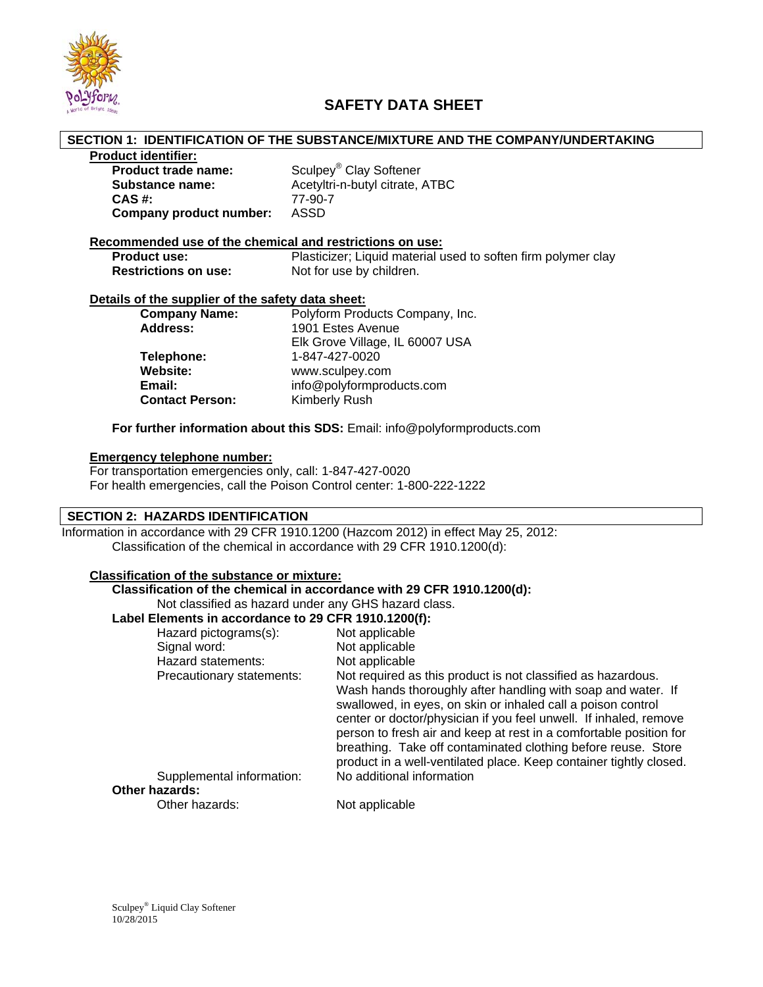

## **SAFETY DATA SHEET**

#### **SECTION 1: IDENTIFICATION OF THE SUBSTANCE/MIXTURE AND THE COMPANY/UNDERTAKING**

#### **Product identifier:**

| <b>Product trade name:</b> | Sculpey <sup>®</sup> Clay Softener |
|----------------------------|------------------------------------|
| Substance name:            | Acetyltri-n-butyl citrate, ATBC    |
| CAS #:                     | 77-90-7                            |
| Company product number:    | ASSD                               |

# **Recommended use of the chemical and restrictions on use:**

Plasticizer; Liquid material used to soften firm polymer clay **Restrictions on use:** Not for use by children.

#### **Details of the supplier of the safety data sheet:**

| <b>Company Name:</b>   | Polyform Products Company, Inc. |
|------------------------|---------------------------------|
| <b>Address:</b>        | 1901 Estes Avenue               |
|                        | Elk Grove Village, IL 60007 USA |
| Telephone:             | 1-847-427-0020                  |
| Website:               | www.sculpey.com                 |
| Email:                 | info@polyformproducts.com       |
| <b>Contact Person:</b> | Kimberly Rush                   |

**For further information about this SDS:** Email: info@polyformproducts.com

### **Emergency telephone number:**

For transportation emergencies only, call: 1-847-427-0020 For health emergencies, call the Poison Control center: 1-800-222-1222

### **SECTION 2: HAZARDS IDENTIFICATION**

Information in accordance with 29 CFR 1910.1200 (Hazcom 2012) in effect May 25, 2012: Classification of the chemical in accordance with 29 CFR 1910.1200(d):

## **Classification of the substance or mixture:**

### **Classification of the chemical in accordance with 29 CFR 1910.1200(d):**

Not classified as hazard under any GHS hazard class.

## **Label Elements in accordance to 29 CFR 1910.1200(f):**

| Hazard pictograms(s):     | Not applicable                                                                                                                                                                                                                                                                                                                                                                                                 |
|---------------------------|----------------------------------------------------------------------------------------------------------------------------------------------------------------------------------------------------------------------------------------------------------------------------------------------------------------------------------------------------------------------------------------------------------------|
| Signal word:              | Not applicable                                                                                                                                                                                                                                                                                                                                                                                                 |
| Hazard statements:        | Not applicable                                                                                                                                                                                                                                                                                                                                                                                                 |
| Precautionary statements: | Not required as this product is not classified as hazardous.                                                                                                                                                                                                                                                                                                                                                   |
|                           | Wash hands thoroughly after handling with soap and water. If<br>swallowed, in eyes, on skin or inhaled call a poison control<br>center or doctor/physician if you feel unwell. If inhaled, remove<br>person to fresh air and keep at rest in a comfortable position for<br>breathing. Take off contaminated clothing before reuse. Store<br>product in a well-ventilated place. Keep container tightly closed. |
| Supplemental information: | No additional information                                                                                                                                                                                                                                                                                                                                                                                      |
| Other hazards:            |                                                                                                                                                                                                                                                                                                                                                                                                                |
| Other hazards:            | Not applicable                                                                                                                                                                                                                                                                                                                                                                                                 |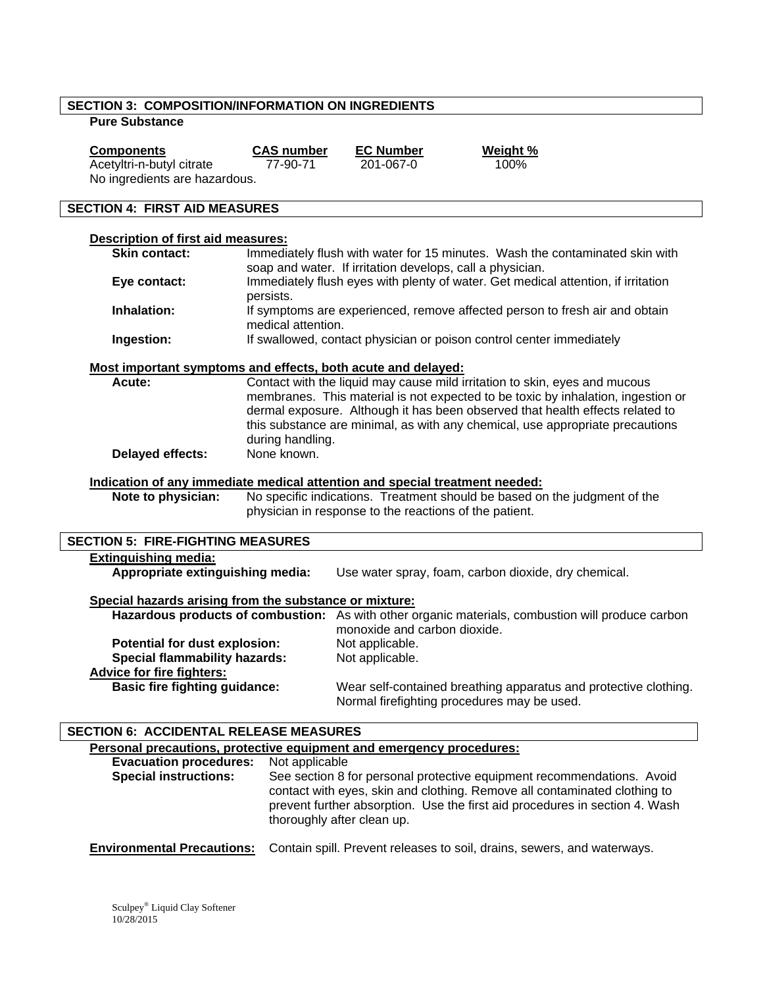## **SECTION 3: COMPOSITION/INFORMATION ON INGREDIENTS**

## **Pure Substance**

| Components                    | <b>CAS</b> number | <b>EC Number</b> | Weight % |
|-------------------------------|-------------------|------------------|----------|
| Acetyltri-n-butyl citrate     | 77-90-71          | 201-067-0        | 100%     |
| No ingredients are hazardous. |                   |                  |          |

## **SECTION 4: FIRST AID MEASURES**

| Description of first aid measures:                                          |                                                                                                                                                                                                                                                                                                                                                      |                                                                                                                                   |  |  |  |
|-----------------------------------------------------------------------------|------------------------------------------------------------------------------------------------------------------------------------------------------------------------------------------------------------------------------------------------------------------------------------------------------------------------------------------------------|-----------------------------------------------------------------------------------------------------------------------------------|--|--|--|
| <b>Skin contact:</b>                                                        | Immediately flush with water for 15 minutes. Wash the contaminated skin with                                                                                                                                                                                                                                                                         |                                                                                                                                   |  |  |  |
|                                                                             |                                                                                                                                                                                                                                                                                                                                                      | soap and water. If irritation develops, call a physician.                                                                         |  |  |  |
| Eye contact:                                                                |                                                                                                                                                                                                                                                                                                                                                      | Immediately flush eyes with plenty of water. Get medical attention, if irritation                                                 |  |  |  |
|                                                                             | persists.                                                                                                                                                                                                                                                                                                                                            |                                                                                                                                   |  |  |  |
| Inhalation:                                                                 | If symptoms are experienced, remove affected person to fresh air and obtain<br>medical attention.                                                                                                                                                                                                                                                    |                                                                                                                                   |  |  |  |
| Ingestion:                                                                  |                                                                                                                                                                                                                                                                                                                                                      | If swallowed, contact physician or poison control center immediately                                                              |  |  |  |
| Most important symptoms and effects, both acute and delayed:                |                                                                                                                                                                                                                                                                                                                                                      |                                                                                                                                   |  |  |  |
| Acute:                                                                      | Contact with the liquid may cause mild irritation to skin, eyes and mucous<br>membranes. This material is not expected to be toxic by inhalation, ingestion or<br>dermal exposure. Although it has been observed that health effects related to<br>this substance are minimal, as with any chemical, use appropriate precautions<br>during handling. |                                                                                                                                   |  |  |  |
| Delayed effects:                                                            | None known.                                                                                                                                                                                                                                                                                                                                          |                                                                                                                                   |  |  |  |
| Indication of any immediate medical attention and special treatment needed: |                                                                                                                                                                                                                                                                                                                                                      |                                                                                                                                   |  |  |  |
| Note to physician:                                                          |                                                                                                                                                                                                                                                                                                                                                      | No specific indications. Treatment should be based on the judgment of the                                                         |  |  |  |
|                                                                             | physician in response to the reactions of the patient.                                                                                                                                                                                                                                                                                               |                                                                                                                                   |  |  |  |
| <b>SECTION 5: FIRE-FIGHTING MEASURES</b>                                    |                                                                                                                                                                                                                                                                                                                                                      |                                                                                                                                   |  |  |  |
| <b>Extinguishing media:</b>                                                 |                                                                                                                                                                                                                                                                                                                                                      |                                                                                                                                   |  |  |  |
| Appropriate extinguishing media:                                            |                                                                                                                                                                                                                                                                                                                                                      | Use water spray, foam, carbon dioxide, dry chemical.                                                                              |  |  |  |
| Special hazards arising from the substance or mixture:                      |                                                                                                                                                                                                                                                                                                                                                      |                                                                                                                                   |  |  |  |
|                                                                             |                                                                                                                                                                                                                                                                                                                                                      | Hazardous products of combustion: As with other organic materials, combustion will produce carbon<br>monoxide and carbon dioxide. |  |  |  |
| Potential for dust explosion:                                               |                                                                                                                                                                                                                                                                                                                                                      | Not applicable.                                                                                                                   |  |  |  |
| <b>Special flammability hazards:</b>                                        |                                                                                                                                                                                                                                                                                                                                                      | Not applicable.                                                                                                                   |  |  |  |
| <b>Advice for fire fighters:</b>                                            |                                                                                                                                                                                                                                                                                                                                                      |                                                                                                                                   |  |  |  |
| <b>Basic fire fighting guidance:</b>                                        |                                                                                                                                                                                                                                                                                                                                                      | Wear self-contained breathing apparatus and protective clothing.<br>Normal firefighting procedures may be used.                   |  |  |  |
|                                                                             |                                                                                                                                                                                                                                                                                                                                                      |                                                                                                                                   |  |  |  |

## **SECTION 6: ACCIDENTAL RELEASE MEASURES**

| Personal precautions, protective equipment and emergency procedures: |                                                                                                                                                                                                                                                                  |  |  |  |
|----------------------------------------------------------------------|------------------------------------------------------------------------------------------------------------------------------------------------------------------------------------------------------------------------------------------------------------------|--|--|--|
| <b>Evacuation procedures:</b>                                        | Not applicable                                                                                                                                                                                                                                                   |  |  |  |
| <b>Special instructions:</b>                                         | See section 8 for personal protective equipment recommendations. Avoid<br>contact with eyes, skin and clothing. Remove all contaminated clothing to<br>prevent further absorption. Use the first aid procedures in section 4. Wash<br>thoroughly after clean up. |  |  |  |
| <b>Environmental Precautions:</b>                                    | Contain spill. Prevent releases to soil, drains, sewers, and waterways.                                                                                                                                                                                          |  |  |  |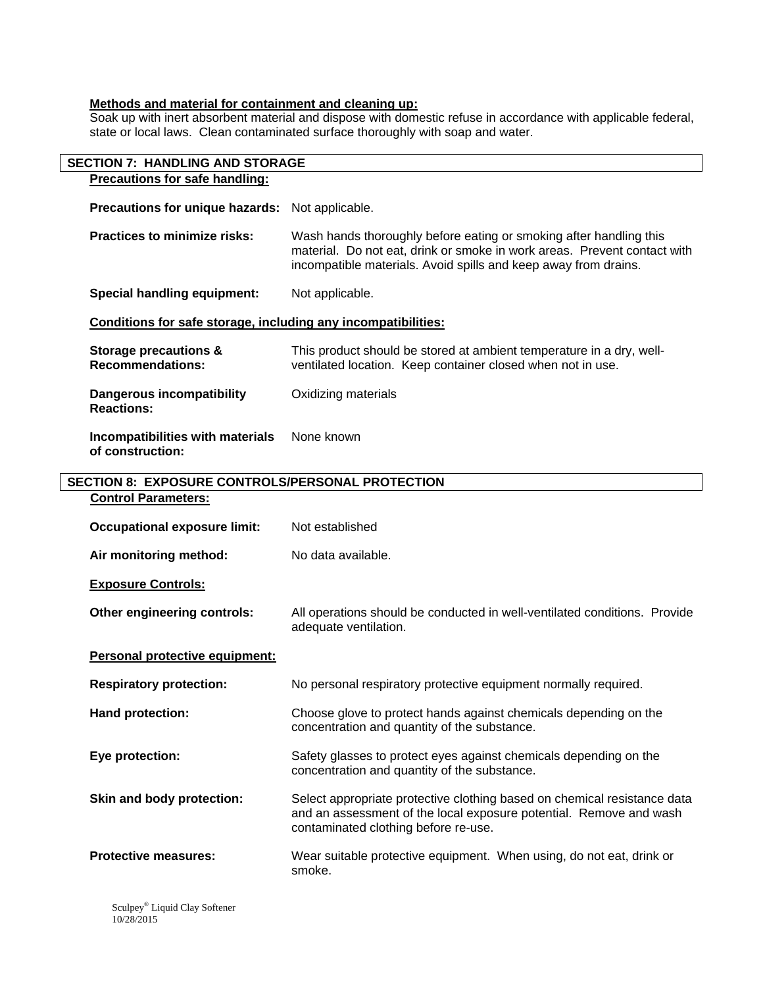#### **Methods and material for containment and cleaning up:**

Soak up with inert absorbent material and dispose with domestic refuse in accordance with applicable federal, state or local laws. Clean contaminated surface thoroughly with soap and water.

| <b>SECTION 7: HANDLING AND STORAGE</b>                        |                                                                                                                                                                                                                   |  |  |  |
|---------------------------------------------------------------|-------------------------------------------------------------------------------------------------------------------------------------------------------------------------------------------------------------------|--|--|--|
| <b>Precautions for safe handling:</b>                         |                                                                                                                                                                                                                   |  |  |  |
| Precautions for unique hazards:                               | Not applicable.                                                                                                                                                                                                   |  |  |  |
| <b>Practices to minimize risks:</b>                           | Wash hands thoroughly before eating or smoking after handling this<br>material. Do not eat, drink or smoke in work areas. Prevent contact with<br>incompatible materials. Avoid spills and keep away from drains. |  |  |  |
| <b>Special handling equipment:</b>                            | Not applicable.                                                                                                                                                                                                   |  |  |  |
| Conditions for safe storage, including any incompatibilities: |                                                                                                                                                                                                                   |  |  |  |
| <b>Storage precautions &amp;</b><br><b>Recommendations:</b>   | This product should be stored at ambient temperature in a dry, well-<br>ventilated location. Keep container closed when not in use.                                                                               |  |  |  |
| <b>Dangerous incompatibility</b><br><b>Reactions:</b>         | Oxidizing materials                                                                                                                                                                                               |  |  |  |
| Incompatibilities with materials<br>of construction:          | None known                                                                                                                                                                                                        |  |  |  |
| <b>SECTION 8: EXPOSURE CONTROLS/PERSONAL PROTECTION</b>       |                                                                                                                                                                                                                   |  |  |  |
| <b>Control Parameters:</b>                                    |                                                                                                                                                                                                                   |  |  |  |
| <b>Occupational exposure limit:</b>                           | Not established                                                                                                                                                                                                   |  |  |  |
| Air monitoring method:                                        | No data available.                                                                                                                                                                                                |  |  |  |
| <b>Exposure Controls:</b>                                     |                                                                                                                                                                                                                   |  |  |  |
| Other engineering controls:                                   | All operations should be conducted in well-ventilated conditions. Provide<br>adequate ventilation.                                                                                                                |  |  |  |
| Personal protective equipment:                                |                                                                                                                                                                                                                   |  |  |  |
| <b>Respiratory protection:</b>                                | No personal respiratory protective equipment normally required.                                                                                                                                                   |  |  |  |
| Hand protection:                                              | Choose glove to protect hands against chemicals depending on the<br>concentration and quantity of the substance.                                                                                                  |  |  |  |
| Eye protection:                                               | Safety glasses to protect eyes against chemicals depending on the<br>concentration and quantity of the substance.                                                                                                 |  |  |  |
| Skin and body protection:                                     | Select appropriate protective clothing based on chemical resistance data<br>and an assessment of the local exposure potential. Remove and wash<br>contaminated clothing before re-use.                            |  |  |  |
| <b>Protective measures:</b>                                   | Wear suitable protective equipment. When using, do not eat, drink or<br>smoke.                                                                                                                                    |  |  |  |

Sculpey® Liquid Clay Softener 10/28/2015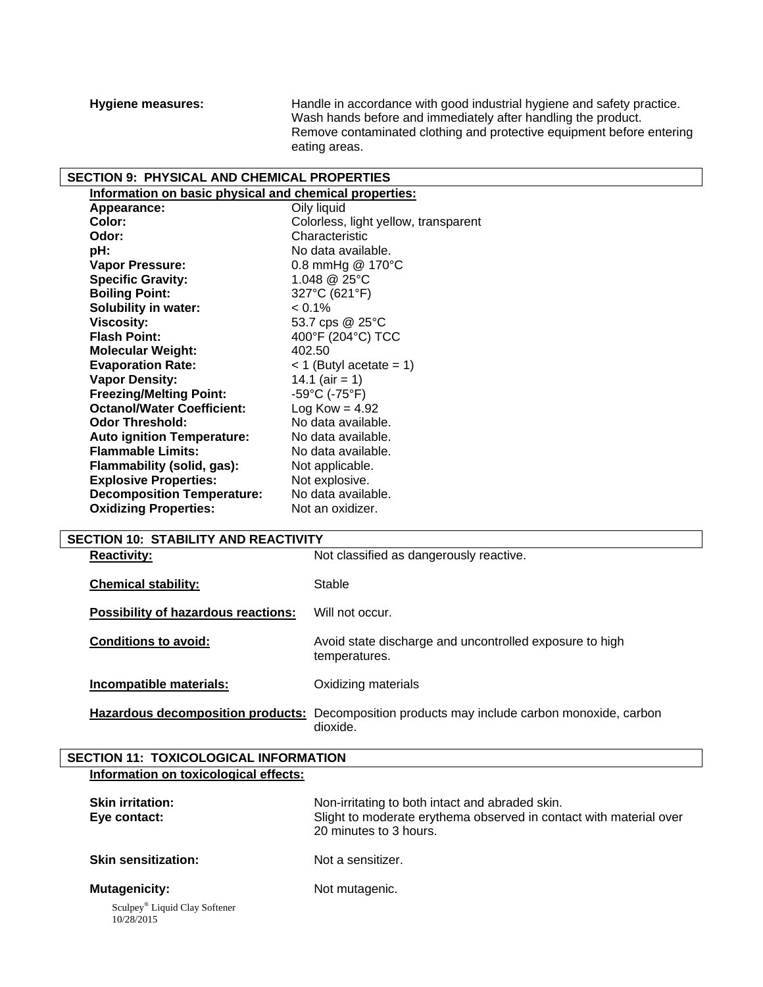**Hygiene measures:** Handle in accordance with good industrial hygiene and safety practice. Wash hands before and immediately after handling the product. Remove contaminated clothing and protective equipment before entering eating areas.

## **SECTION 9: PHYSICAL AND CHEMICAL PROPERTIES**

| Information on basic physical and chemical properties: |                                      |
|--------------------------------------------------------|--------------------------------------|
| Appearance:                                            | Oily liquid                          |
| Color:                                                 | Colorless, light yellow, transparent |
| Odor:                                                  | Characteristic                       |
| pH:                                                    | No data available.                   |
| Vapor Pressure:                                        | 0.8 mmHg $@$ 170 $°C$                |
| <b>Specific Gravity:</b>                               | 1.048 @ 25°C                         |
| <b>Boiling Point:</b>                                  | 327°C (621°F)                        |
| <b>Solubility in water:</b>                            | $< 0.1\%$                            |
| <b>Viscosity:</b>                                      | 53.7 cps @ 25°C                      |
| <b>Flash Point:</b>                                    | 400°F (204°C) TCC                    |
| <b>Molecular Weight:</b>                               | 402.50                               |
| <b>Evaporation Rate:</b>                               | $<$ 1 (Butyl acetate = 1)            |
| <b>Vapor Density:</b>                                  | 14.1 (air = 1)                       |
| <b>Freezing/Melting Point:</b>                         | $-59^{\circ}$ C (-75 $^{\circ}$ F)   |
| <b>Octanol/Water Coefficient:</b>                      | $Log Kow = 4.92$                     |
| <b>Odor Threshold:</b>                                 | No data available.                   |
| <b>Auto ignition Temperature:</b>                      | No data available.                   |
| <b>Flammable Limits:</b>                               | No data available.                   |
| Flammability (solid, gas):                             | Not applicable.                      |
| <b>Explosive Properties:</b>                           | Not explosive.                       |
| <b>Decomposition Temperature:</b>                      | No data available.                   |
| <b>Oxidizing Properties:</b>                           | Not an oxidizer.                     |
|                                                        |                                      |

| <b>SECTION 10: STABILITY AND REACTIVITY</b> |                                                                          |  |  |
|---------------------------------------------|--------------------------------------------------------------------------|--|--|
| <b>Reactivity:</b>                          | Not classified as dangerously reactive.                                  |  |  |
| <b>Chemical stability:</b>                  | Stable                                                                   |  |  |
| <b>Possibility of hazardous reactions:</b>  | Will not occur.                                                          |  |  |
| <b>Conditions to avoid:</b>                 | Avoid state discharge and uncontrolled exposure to high<br>temperatures. |  |  |
| Incompatible materials:                     | Oxidizing materials                                                      |  |  |
| Hazardous decomposition products:           | Decomposition products may include carbon monoxide, carbon<br>dioxide.   |  |  |

## **SECTION 11: TOXICOLOGICAL INFORMATION Information on toxicological effects:**

| <b>Skin irritation:</b><br>Eye contact:                 | Non-irritating to both intact and abraded skin.<br>Slight to moderate erythema observed in contact with material over<br>20 minutes to 3 hours. |
|---------------------------------------------------------|-------------------------------------------------------------------------------------------------------------------------------------------------|
| <b>Skin sensitization:</b>                              | Not a sensitizer.                                                                                                                               |
| <b>Mutagenicity:</b>                                    | Not mutagenic.                                                                                                                                  |
| Sculpey <sup>®</sup> Liquid Clay Softener<br>10/28/2015 |                                                                                                                                                 |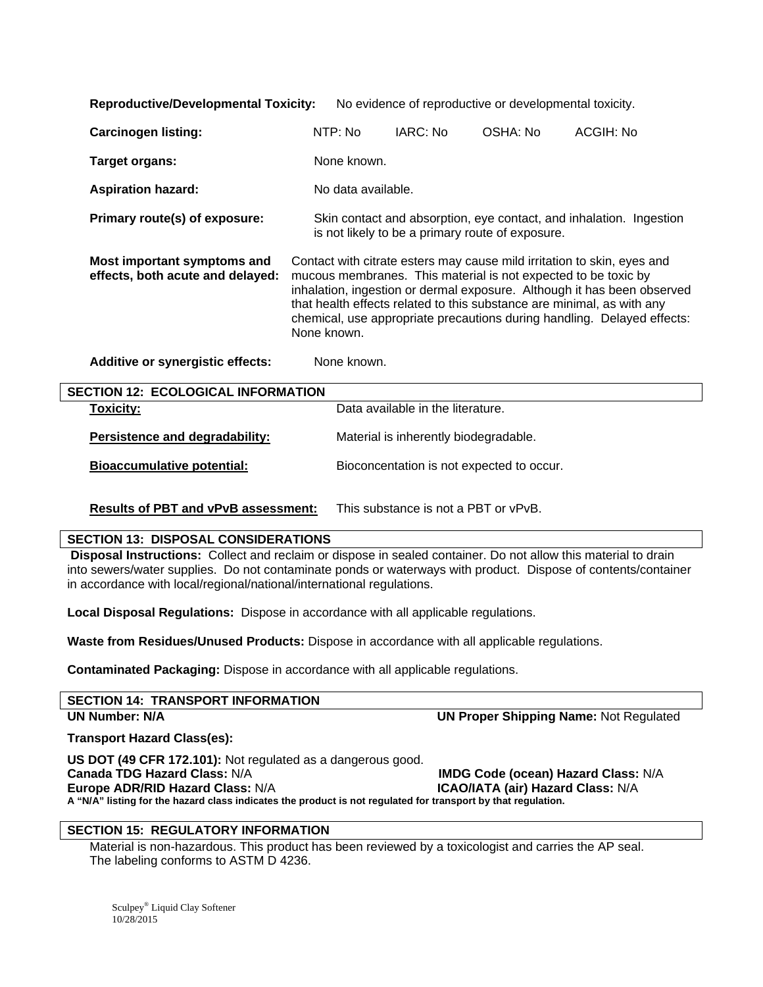| <b>Reproductive/Developmental Toxicity:</b><br>No evidence of reproductive or developmental toxicity. |                                                                                                                                                                                                                                                                                                                                                                                          |                                       |                                           |           |
|-------------------------------------------------------------------------------------------------------|------------------------------------------------------------------------------------------------------------------------------------------------------------------------------------------------------------------------------------------------------------------------------------------------------------------------------------------------------------------------------------------|---------------------------------------|-------------------------------------------|-----------|
| <b>Carcinogen listing:</b>                                                                            | NTP: No                                                                                                                                                                                                                                                                                                                                                                                  | IARC: No                              | OSHA: No                                  | ACGIH: No |
| Target organs:                                                                                        | None known.                                                                                                                                                                                                                                                                                                                                                                              |                                       |                                           |           |
| <b>Aspiration hazard:</b>                                                                             | No data available.                                                                                                                                                                                                                                                                                                                                                                       |                                       |                                           |           |
| Primary route(s) of exposure:                                                                         | Skin contact and absorption, eye contact, and inhalation. Ingestion<br>is not likely to be a primary route of exposure.                                                                                                                                                                                                                                                                  |                                       |                                           |           |
| Most important symptoms and<br>effects, both acute and delayed:                                       | Contact with citrate esters may cause mild irritation to skin, eyes and<br>mucous membranes. This material is not expected to be toxic by<br>inhalation, ingestion or dermal exposure. Although it has been observed<br>that health effects related to this substance are minimal, as with any<br>chemical, use appropriate precautions during handling. Delayed effects:<br>None known. |                                       |                                           |           |
| <b>Additive or synergistic effects:</b>                                                               | None known.                                                                                                                                                                                                                                                                                                                                                                              |                                       |                                           |           |
| <b>SECTION 12: ECOLOGICAL INFORMATION</b>                                                             |                                                                                                                                                                                                                                                                                                                                                                                          |                                       |                                           |           |
| <b>Toxicity:</b>                                                                                      |                                                                                                                                                                                                                                                                                                                                                                                          | Data available in the literature.     |                                           |           |
| Persistence and degradability:                                                                        |                                                                                                                                                                                                                                                                                                                                                                                          | Material is inherently biodegradable. |                                           |           |
| <b>Bioaccumulative potential:</b>                                                                     |                                                                                                                                                                                                                                                                                                                                                                                          |                                       | Bioconcentation is not expected to occur. |           |

**Results of PBT and vPvB assessment:** This substance is not a PBT or vPvB.

#### **SECTION 13: DISPOSAL CONSIDERATIONS**

**Disposal Instructions:** Collect and reclaim or dispose in sealed container. Do not allow this material to drain into sewers/water supplies. Do not contaminate ponds or waterways with product. Dispose of contents/container in accordance with local/regional/national/international regulations.

**Local Disposal Regulations:** Dispose in accordance with all applicable regulations.

**Waste from Residues/Unused Products:** Dispose in accordance with all applicable regulations.

**Contaminated Packaging:** Dispose in accordance with all applicable regulations.

| <b>UN Proper Shipping Name: Not Regulated</b> |
|-----------------------------------------------|
|                                               |
|                                               |
| <b>IMDG Code (ocean) Hazard Class: N/A</b>    |
|                                               |
|                                               |

**A "N/A" listing for the hazard class indicates the product is not regulated for transport by that regulation.** 

#### **SECTION 15: REGULATORY INFORMATION**

Material is non-hazardous. This product has been reviewed by a toxicologist and carries the AP seal. The labeling conforms to ASTM D 4236.

Sculpey® Liquid Clay Softener 10/28/2015